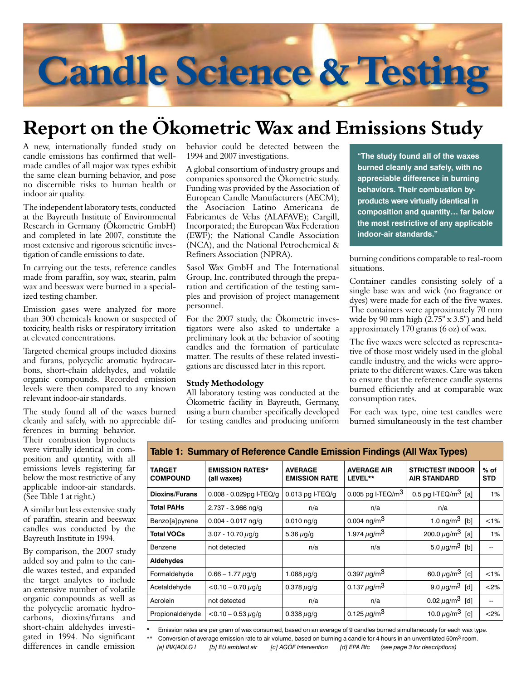# **Candle Science & Testing**

# **Report on the Ökometric Wax and Emissions Study**

A new, internationally funded study on candle emissions has confirmed that wellmade candles of all major wax types exhibit the same clean burning behavior, and pose no discernible risks to human health or indoor air quality.

The independent laboratory tests, conducted at the Bayreuth Institute of Environmental Research in Germany (Ökometric GmbH) and completed in late 2007, constitute the most extensive and rigorous scientific investigation of candle emissions to date.

In carrying out the tests, reference candles made from paraffin, soy wax, stearin, palm wax and beeswax were burned in a specialized testing chamber.

Emission gases were analyzed for more than 300 chemicals known or suspected of toxicity, health risks or respiratory irritation at elevated concentrations.

Targeted chemical groups included dioxins and furans, polycyclic aromatic hydrocarbons, short-chain aldehydes, and volatile organic compounds. Recorded emission levels were then compared to any known relevant indoor-air standards.

The study found all of the waxes burned cleanly and safely, with no appreciable dif-

ferences in burning behavior. Their combustion byproducts were virtually identical in composition and quantity, with all emissions levels registering far below the most restrictive of any applicable indoor-air standards. (See Table 1 at right.)

A similar but less extensive study of paraffin, stearin and beeswax candles was conducted by the Bayreuth Institute in 1994.

By comparison, the 2007 study added soy and palm to the candle waxes tested, and expanded the target analytes to include an extensive number of volatile organic compounds as well as the polycyclic aromatic hydrocarbons, dioxins/furans and short-chain aldehydes investigated in 1994. No significant differences in candle emission

behavior could be detected between the 1994 and 2007 investigations.

A global consortium of industry groups and companies sponsored the Ökometric study. Funding was provided by the Association of European Candle Manufacturers (AECM); the Asociacion Latino Americana de Fabricantes de Velas (ALAFAVE); Cargill, Incorporated; the European Wax Federation (EWF); the National Candle Association (NCA), and the National Petrochemical & Refiners Association (NPRA).

Sasol Wax GmbH and The International Group, Inc. contributed through the preparation and certification of the testing samples and provision of project management personnel.

For the 2007 study, the Ökometric investigators were also asked to undertake a preliminary look at the behavior of sooting candles and the formation of particulate matter. The results of these related investigations are discussed later in this report.

### **Study Methodology**

All laboratory testing was conducted at the Ökometric facility in Bayreuth, Germany, using a burn chamber specifically developed for testing candles and producing uniform **"The study found all of the waxes burned cleanly and safely, with no appreciable difference in burning behaviors. Their combustion byproducts were virtually identical in composition and quantity… far below the most restrictive of any applicable indoor-air standards."**

burning conditions comparable to real-room situations.

Container candles consisting solely of a single base wax and wick (no fragrance or dyes) were made for each of the five waxes. The containers were approximately 70 mm wide by 90 mm high  $(2.75" \times 3.5")$  and held approximately 170 grams (6 oz) of wax.

The five waxes were selected as representative of those most widely used in the global candle industry, and the wicks were appropriate to the different waxes. Care was taken to ensure that the reference candle systems burned efficiently and at comparable wax consumption rates.

For each wax type, nine test candles were burned simultaneously in the test chamber

| TARGET<br><b>COMPOUND</b> | <b>EMISSION RATES*</b><br>(all waxes) | <b>AVERAGE</b><br><b>EMISSION RATE</b> | <b>AVERAGE AIR</b><br>LEVEL** | <b>STRICTEST INDOOR</b><br><b>AIR STANDARD</b> | % of<br><b>STD</b>       |
|---------------------------|---------------------------------------|----------------------------------------|-------------------------------|------------------------------------------------|--------------------------|
| <b>Dioxins/Furans</b>     | $0.008 - 0.029$ pg I-TEQ/g            | $0.013$ pg I-TEQ/g                     | 0.005 pg I-TEQ/m <sup>3</sup> | 0.5 pg I-TEQ/m <sup>3</sup> [a]                | 1%                       |
| <b>Total PAHs</b>         | $2.737 - 3.966$ ng/g                  | n/a                                    | n/a                           | n/a                                            |                          |
| Benzo[a]pyrene            | $0.004 - 0.017$ ng/g                  | $0.010$ ng/g                           | 0.004 $\frac{mg}{m^3}$        | 1.0 $\mu$ <sup>3</sup><br>[b]                  | < 1%                     |
| <b>Total VOCs</b>         | $3.07 - 10.70 \,\mu$ g/g              | 5.36 $\mu$ g/g                         | 1.974 $\mu$ g/m <sup>3</sup>  | 200.0 $\mu$ g/m <sup>3</sup><br>[a]            | 1%                       |
| Benzene                   | not detected                          | n/a                                    | n/a                           | 5.0 $\mu$ g/m <sup>3</sup> [b]                 |                          |
| Aldehydes                 |                                       |                                        |                               |                                                |                          |
| Formaldehyde              | $0.66 - 1.77 \,\mu g/g$               | 1.088 $\mu$ g/g                        | 0.397 $\mu$ g/m <sup>3</sup>  | 60.0 $\mu$ g/m <sup>3</sup> [c]                | < 1%                     |
| Acetaldehyde              | $<$ 0.10 - 0.70 $\mu$ g/g             | 0.378 $\mu$ g/g                        | 0.137 $\mu$ g/m <sup>3</sup>  | 9.0 $\mu$ g/m <sup>3</sup><br>[d]              | < 2%                     |
| Acrolein                  | not detected                          | n/a                                    | n/a                           | 0.02 $\mu$ g/m <sup>3</sup><br>[d]             | $\overline{\phantom{m}}$ |
| Propionaldehyde           | $<$ 0.10 - 0.53 $\mu$ g/g             | 0.338 $\mu$ g/g                        | 0.125 $\mu$ g/m <sup>3</sup>  | 10.0 $\mu$ g/m <sup>3</sup> [c]                | $<$ 2%                   |

Emission rates are per gram of wax consumed, based on an average of 9 candles burned simultaneously for each wax type.

\*\* Conversion of average emission rate to air volume, based on burning a candle for 4 hours in an unventilated 50m<sup>3</sup> room.

 *[a] IRK/AOLG I [b] EU ambient air [c] AGÖF Intervention [d] EPA Rfc (see page 3 for descriptions)*

## **Table 1: Summary of Reference Candle Emission Findings (All Wax Types)**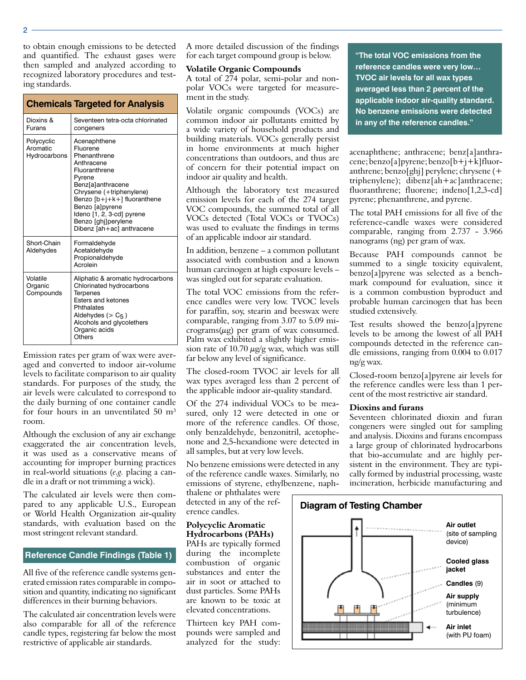to obtain enough emissions to be detected and quantified. The exhaust gases were then sampled and analyzed according to recognized laboratory procedures and testing standards.

| <b>Chemicals Targeted for Analysis</b> |                                                                                                                                                                                                                                                                               |  |  |  |
|----------------------------------------|-------------------------------------------------------------------------------------------------------------------------------------------------------------------------------------------------------------------------------------------------------------------------------|--|--|--|
| Dioxins &<br>Furans                    | Seventeen tetra-octa chlorinated<br>congeners                                                                                                                                                                                                                                 |  |  |  |
| Polycyclic<br>Aromatic<br>Hydrocarbons | Acenaphthene<br>Fluorene<br>Phenanthrene<br>Anthracene<br>Fluoranthrene<br>Pvrene<br><b>Benz</b> [a]anthracene<br>Chrysene (+triphenylene)<br>Benzo [b+j+k+] fluoranthene<br>Benzo [a]pyrene<br>Ideno [1, 2, 3-cd] pyrene<br>Benzo [ghj]perylene<br>Dibenz [ah+ac] anthracene |  |  |  |
| Short-Chain<br>Aldehydes               | Formaldehyde<br>Acetaldehyde<br>Propionaldehyde<br>Acrolein                                                                                                                                                                                                                   |  |  |  |
| Volatile<br>Organic<br>Compounds       | Aliphatic & aromatic hydrocarbons<br>Chlorinated hydrocarbons<br><b>Terpenes</b><br>Esters and ketones<br>Phthalates<br>Aldehydes $(> C5)$<br>Alcohols and glycolethers<br>Organic acids<br>Others                                                                            |  |  |  |

Emission rates per gram of wax were averaged and converted to indoor air-volume levels to facilitate comparison to air quality standards. For purposes of the study, the air levels were calculated to correspond to the daily burning of one container candle for four hours in an unventilated 50 m<sup>3</sup> room.

Although the exclusion of any air exchange exaggerated the air concentration levels, it was used as a conservative means of accounting for improper burning practices in real-world situations (*e.g.* placing a candle in a draft or not trimming a wick).

The calculated air levels were then compared to any applicable U.S., European or World Health Organization air-quality standards, with evaluation based on the most stringent relevant standard.

### **Reference Candle Findings (Table 1)**

All five of the reference candle systems generated emission rates comparable in composition and quantity, indicating no significant differences in their burning behaviors.

The calculated air concentration levels were also comparable for all of the reference candle types, registering far below the most restrictive of applicable air standards.

A more detailed discussion of the findings for each target compound group is below.

### **Volatile Organic Compounds**

A total of 274 polar, semi-polar and nonpolar VOCs were targeted for measurement in the study.

Volatile organic compounds (VOCs) are common indoor air pollutants emitted by a wide variety of household products and building materials. VOCs generally persist in home environments at much higher concentrations than outdoors, and thus are of concern for their potential impact on indoor air quality and health.

Although the laboratory test measured emission levels for each of the 274 target VOC compounds, the summed total of all VOCs detected (Total VOCs or TVOCs) was used to evaluate the findings in terms of an applicable indoor air standard.

In addition, benzene – a common pollutant associated with combustion and a known human carcinogen at high exposure levels – was singled out for separate evaluation.

The total VOC emissions from the reference candles were very low. TVOC levels for paraffin, soy, stearin and beeswax were comparable, ranging from 3.07 to 5.09 mi $c$ rograms( $\mu$ g) per gram of wax consumed. Palm wax exhibited a slightly higher emission rate of 10.70  $\mu$ g/g wax, which was still far below any level of significance.

The closed-room TVOC air levels for all wax types averaged less than 2 percent of the applicable indoor air-quality standard.

Of the 274 individual VOCs to be measured, only 12 were detected in one or more of the reference candles. Of those, only benzaldehyde, benzonitril, acetophenone and 2,5-hexandione were detected in all samples, but at very low levels.

No benzene emissions were detected in any of the reference candle waxes. Similarly, no emissions of styrene, ethylbenzene, naph-

thalene or phthalates were detected in any of the reference candles.

### **Polycyclic Aromatic Hydrocarbons (PAHs)**

PAHs are typically formed during the incomplete combustion of organic substances and enter the air in soot or attached to dust particles. Some PAHs are known to be toxic at elevated concentrations.

Thirteen key PAH compounds were sampled and analyzed for the study:

**"The total VOC emissions from the reference candles were very low… TVOC air levels for all wax types averaged less than 2 percent of the applicable indoor air-quality standard. No benzene emissions were detected in any of the reference candles."**

acenaphthene; anthracene; benz[a]anthracene; benzo[a]pyrene; benzo[b+j+k]fluoranthrene; benzo[ghj] perylene; chrysene (+ triphenylene); dibenz[ah+ac]anthracene; fluoranthrene; fluorene; indeno[1,2,3-cd] pyrene; phenanthrene, and pyrene.

The total PAH emissions for all five of the reference-candle waxes were considered comparable, ranging from 2.737 - 3.966 nanograms (ng) per gram of wax.

Because PAH compounds cannot be summed to a single toxicity equivalent, benzo[a]pyrene was selected as a benchmark compound for evaluation, since it is a common combustion byproduct and probable human carcinogen that has been studied extensively.

Test results showed the benzo[a]pyrene levels to be among the lowest of all PAH compounds detected in the reference candle emissions, ranging from 0.004 to 0.017 ng/g wax.

Closed-room benzo[a]pyrene air levels for the reference candles were less than 1 percent of the most restrictive air standard.

### **Dioxins and furans**

Seventeen chlorinated dioxin and furan congeners were singled out for sampling and analysis. Dioxins and furans encompass a large group of chlorinated hydrocarbons that bio-accumulate and are highly persistent in the environment. They are typically formed by industrial processing, waste incineration, herbicide manufacturing and



 $\mathfrak{p}$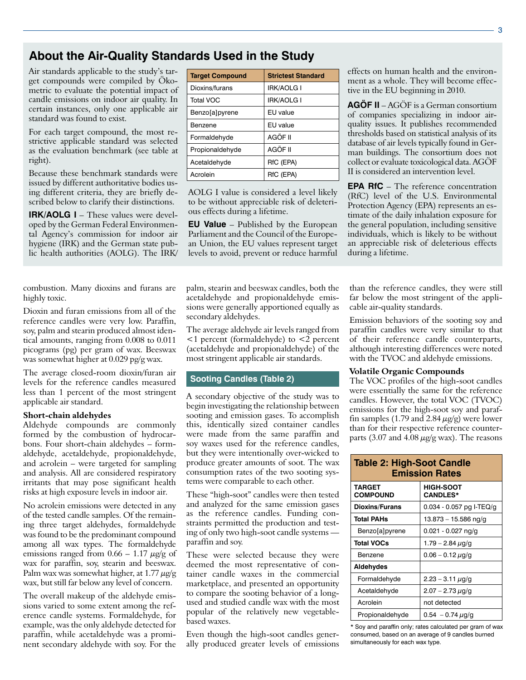# **About the Air-Quality Standards Used in the Study**

Air standards applicable to the study's target compounds were compiled by Ökometric to evaluate the potential impact of candle emissions on indoor air quality. In certain instances, only one applicable air standard was found to exist.

For each target compound, the most restrictive applicable standard was selected as the evaluation benchmark (see table at right).

Because these benchmark standards were issued by different authoritative bodies using different criteria, they are briefly described below to clarify their distinctions.

**IRK/AOLG I** – These values were developed by the German Federal Environmental Agency's commission for indoor air hygiene (IRK) and the German state public health authorities (AOLG). The IRK/

combustion. Many dioxins and furans are highly toxic.

Dioxin and furan emissions from all of the reference candles were very low. Paraffin, soy, palm and stearin produced almost identical amounts, ranging from 0.008 to 0.011 picograms (pg) per gram of wax. Beeswax was somewhat higher at 0.029 pg/g wax.

The average closed-room dioxin/furan air levels for the reference candles measured less than 1 percent of the most stringent applicable air standard.

### **Short-chain aldehydes**

Aldehyde compounds are commonly formed by the combustion of hydrocarbons. Four short-chain aldehydes – formaldehyde, acetaldehyde, propionaldehyde, and acrolein – were targeted for sampling and analysis. All are considered respiratory irritants that may pose significant health risks at high exposure levels in indoor air.

No acrolein emissions were detected in any of the tested candle samples. Of the remaining three target aldehydes, formaldehyde was found to be the predominant compound among all wax types. The formaldehyde emissions ranged from  $0.66 - 1.17 \mu g/g$  of wax for paraffin, soy, stearin and beeswax. Palm wax was somewhat higher, at 1.77  $\mu$ g/g wax, but still far below any level of concern.

The overall makeup of the aldehyde emissions varied to some extent among the reference candle systems. Formaldehyde, for example, was the only aldehyde detected for paraffin, while acetaldehyde was a prominent secondary aldehyde with soy. For the

| <b>Target Compound</b> | <b>Strictest Standard</b> |
|------------------------|---------------------------|
| Dioxins/furans         | <b>IRK/AOLG I</b>         |
| <b>Total VOC</b>       | <b>IRK/AOLG I</b>         |
| Benzo[a]pyrene         | EU value                  |
| Benzene                | EU value                  |
| Formaldehyde           | AGÖF II                   |
| Propionaldehyde        | AGÖF II                   |
| Acetaldehyde           | RfC (EPA)                 |
| Acrolein               | RfC (EPA)                 |

AOLG I value is considered a level likely to be without appreciable risk of deleterious effects during a lifetime.

**EU Value** – Published by the European Parliament and the Council of the European Union, the EU values represent target levels to avoid, prevent or reduce harmful

palm, stearin and beeswax candles, both the acetaldehyde and propionaldehyde emissions were generally apportioned equally as secondary aldehydes.

The average aldehyde air levels ranged from <1 percent (formaldehyde) to <2 percent (acetaldehyde and propionaldehyde) of the most stringent applicable air standards.

### **Sooting Candles (Table 2)**

A secondary objective of the study was to begin investigating the relationship between sooting and emission gases. To accomplish this, identically sized container candles were made from the same paraffin and soy waxes used for the reference candles, but they were intentionally over-wicked to produce greater amounts of soot. The wax consumption rates of the two sooting systems were comparable to each other.

These "high-soot" candles were then tested and analyzed for the same emission gases as the reference candles. Funding constraints permitted the production and testing of only two high-soot candle systems paraffin and soy.

These were selected because they were deemed the most representative of container candle waxes in the commercial marketplace, and presented an opportunity to compare the sooting behavior of a longused and studied candle wax with the most popular of the relatively new vegetablebased waxes.

Even though the high-soot candles generally produced greater levels of emissions effects on human health and the environment as a whole. They will become effective in the EU beginning in 2010.

**AGÖF II** – AGÖF is a German consortium of companies specializing in indoor airquality issues. It publishes recommended thresholds based on statistical analysis of its database of air levels typically found in German buildings. The consortium does not collect or evaluate toxicological data. AGÖF II is considered an intervention level.

**EPA RfC** – The reference concentration (RfC) level of the U.S. Environmental Protection Agency (EPA) represents an estimate of the daily inhalation exposure for the general population, including sensitive individuals, which is likely to be without an appreciable risk of deleterious effects during a lifetime.

than the reference candles, they were still far below the most stringent of the applicable air-quality standards.

Emission behaviors of the sooting soy and paraffin candles were very similar to that of their reference candle counterparts, although interesting differences were noted with the TVOC and aldehyde emissions.

### **Volatile Organic Compounds**

The VOC profiles of the high-soot candles were essentially the same for the reference candles. However, the total VOC (TVOC) emissions for the high-soot soy and paraffin samples (1.79 and 2.84  $\mu$ g/g) were lower than for their respective reference counterparts (3.07 and 4.08  $\mu$ g/g wax). The reasons

| <b>Table 2: High-Soot Candle</b><br><b>Emission Rates</b> |                                     |  |  |  |
|-----------------------------------------------------------|-------------------------------------|--|--|--|
| TARGET<br><b>COMPOUND</b>                                 | <b>HIGH-SOOT</b><br><b>CANDLES*</b> |  |  |  |
| <b>Dioxins/Furans</b>                                     | $0.034 - 0.057$ pg I-TEQ/g          |  |  |  |
| <b>Total PAHs</b>                                         | 13.873 – 15.586 ng/g                |  |  |  |
| Benzo[a]pyrene                                            | $0.021 - 0.027$ ng/g                |  |  |  |
| <b>Total VOCs</b>                                         | 1.79 - 2.84 $\mu$ g/g               |  |  |  |
| Benzene                                                   | $0.06 - 0.12 \mu g/g$               |  |  |  |
| Aldehydes                                                 |                                     |  |  |  |
| Formaldehyde                                              | $2.23 - 3.11 \mu g/g$               |  |  |  |
| Acetaldehyde                                              | $2.07 - 2.73 \,\mu$ g/g             |  |  |  |
| Acrolein                                                  | not detected                        |  |  |  |
| Propionaldehyde                                           | $0.54 - 0.74 \mu$ g/g               |  |  |  |

\* Soy and paraffin only; rates calculated per gram of wax consumed, based on an average of 9 candles burned simultaneously for each wax type.